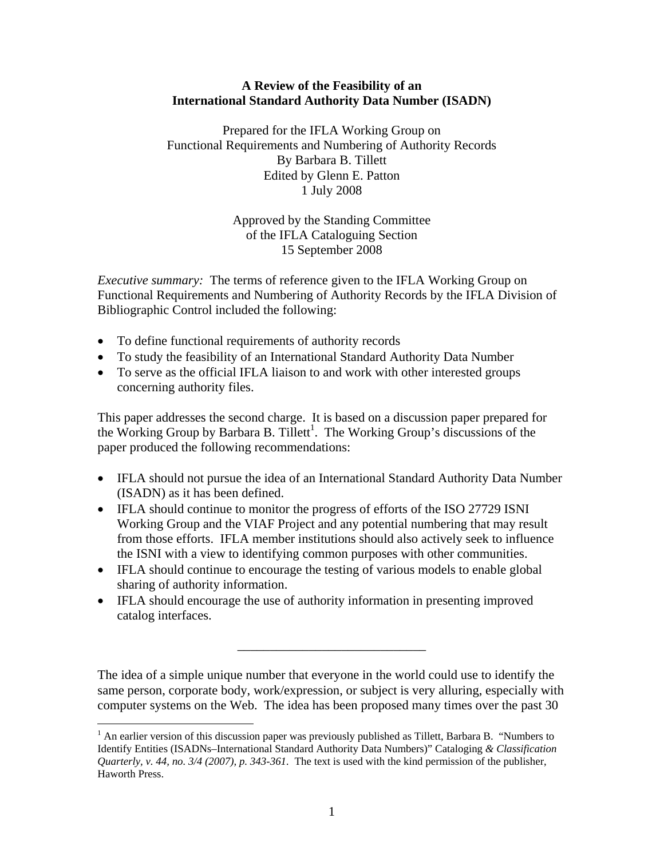## **A Review of the Feasibility of an International Standard Authority Data Number (ISADN)**

Prepared for the IFLA Working Group on Functional Requirements and Numbering of Authority Records By Barbara B. Tillett Edited by Glenn E. Patton 1 July 2008

> Approved by the Standing Committee of the IFLA Cataloguing Section 15 September 2008

*Executive summary:* The terms of reference given to the IFLA Working Group on Functional Requirements and Numbering of Authority Records by the IFLA Division of Bibliographic Control included the following:

- To define functional requirements of authority records
- To study the feasibility of an International Standard Authority Data Number
- To serve as the official IFLA liaison to and work with other interested groups concerning authority files.

This paper addresses the second charge. It is based on a discussion paper prepared for the Working Group by Barbara B. Tillett<sup>1</sup>. The Working Group's discussions of the paper produced the following recommendations:

- IFLA should not pursue the idea of an International Standard Authority Data Number (ISADN) as it has been defined.
- IFLA should continue to monitor the progress of efforts of the ISO 27729 ISNI Working Group and the VIAF Project and any potential numbering that may result from those efforts. IFLA member institutions should also actively seek to influence the ISNI with a view to identifying common purposes with other communities.
- IFLA should continue to encourage the testing of various models to enable global sharing of authority information.
- IFLA should encourage the use of authority information in presenting improved catalog interfaces.

The idea of a simple unique number that everyone in the world could use to identify the same person, corporate body, work/expression, or subject is very alluring, especially with computer systems on the Web. The idea has been proposed many times over the past 30

\_\_\_\_\_\_\_\_\_\_\_\_\_\_\_\_\_\_\_\_\_\_\_\_\_\_\_\_\_

<sup>&</sup>lt;u>.</u>  $<sup>1</sup>$  An earlier version of this discussion paper was previously published as Tillett, Barbara B. "Numbers to</sup> Identify Entities (ISADNs–International Standard Authority Data Numbers)" Cataloging *& Classification Quarterly, v. 44, no. 3/4 (2007), p. 343-361.* The text is used with the kind permission of the publisher, Haworth Press.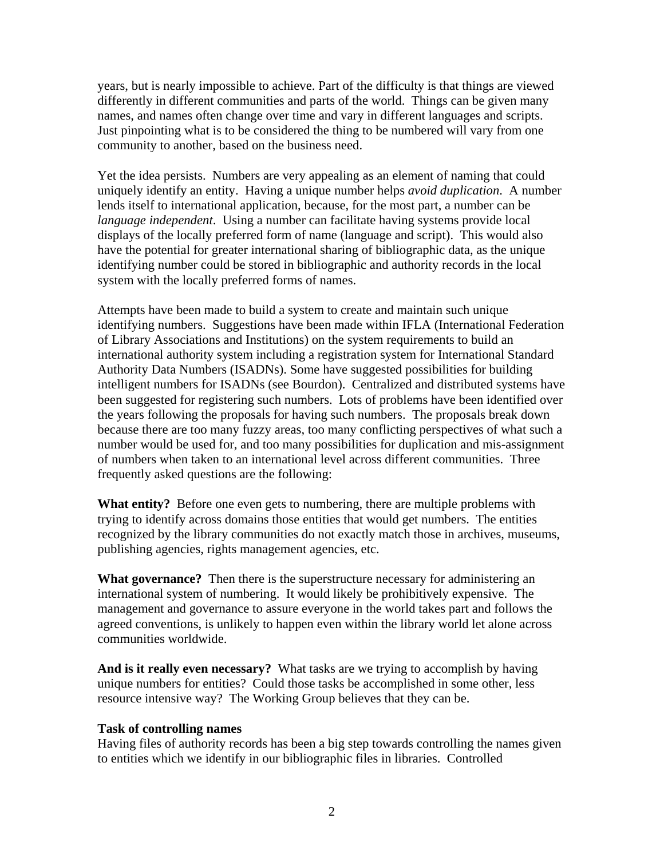years, but is nearly impossible to achieve. Part of the difficulty is that things are viewed differently in different communities and parts of the world. Things can be given many names, and names often change over time and vary in different languages and scripts. Just pinpointing what is to be considered the thing to be numbered will vary from one community to another, based on the business need.

Yet the idea persists. Numbers are very appealing as an element of naming that could uniquely identify an entity. Having a unique number helps *avoid duplication*. A number lends itself to international application, because, for the most part, a number can be *language independent*. Using a number can facilitate having systems provide local displays of the locally preferred form of name (language and script). This would also have the potential for greater international sharing of bibliographic data, as the unique identifying number could be stored in bibliographic and authority records in the local system with the locally preferred forms of names.

Attempts have been made to build a system to create and maintain such unique identifying numbers. Suggestions have been made within IFLA (International Federation of Library Associations and Institutions) on the system requirements to build an international authority system including a registration system for International Standard Authority Data Numbers (ISADNs). Some have suggested possibilities for building intelligent numbers for ISADNs (see Bourdon). Centralized and distributed systems have been suggested for registering such numbers. Lots of problems have been identified over the years following the proposals for having such numbers. The proposals break down because there are too many fuzzy areas, too many conflicting perspectives of what such a number would be used for, and too many possibilities for duplication and mis-assignment of numbers when taken to an international level across different communities. Three frequently asked questions are the following:

**What entity?** Before one even gets to numbering, there are multiple problems with trying to identify across domains those entities that would get numbers. The entities recognized by the library communities do not exactly match those in archives, museums, publishing agencies, rights management agencies, etc.

**What governance?** Then there is the superstructure necessary for administering an international system of numbering. It would likely be prohibitively expensive. The management and governance to assure everyone in the world takes part and follows the agreed conventions, is unlikely to happen even within the library world let alone across communities worldwide.

**And is it really even necessary?** What tasks are we trying to accomplish by having unique numbers for entities? Could those tasks be accomplished in some other, less resource intensive way? The Working Group believes that they can be.

#### **Task of controlling names**

Having files of authority records has been a big step towards controlling the names given to entities which we identify in our bibliographic files in libraries. Controlled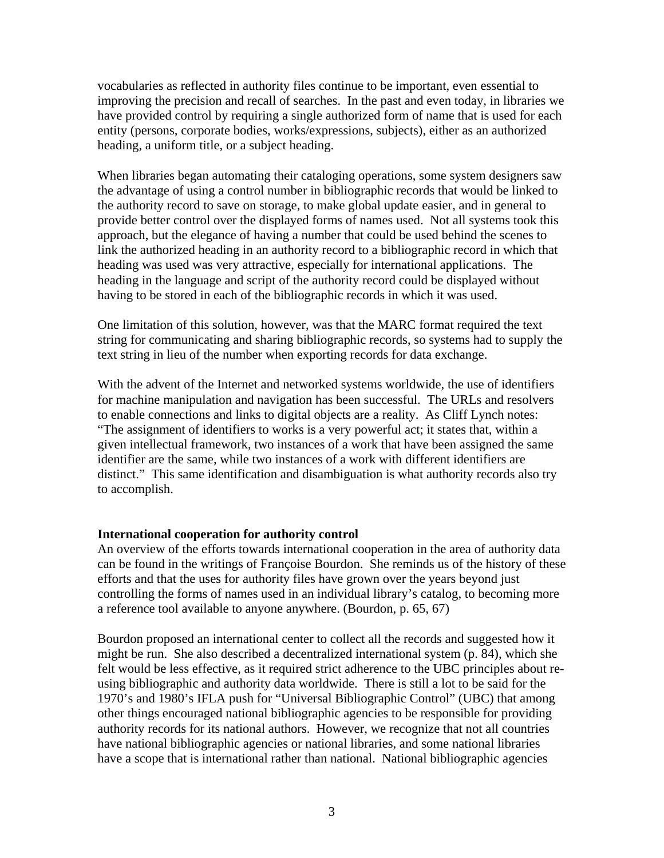vocabularies as reflected in authority files continue to be important, even essential to improving the precision and recall of searches. In the past and even today, in libraries we have provided control by requiring a single authorized form of name that is used for each entity (persons, corporate bodies, works/expressions, subjects), either as an authorized heading, a uniform title, or a subject heading.

When libraries began automating their cataloging operations, some system designers saw the advantage of using a control number in bibliographic records that would be linked to the authority record to save on storage, to make global update easier, and in general to provide better control over the displayed forms of names used. Not all systems took this approach, but the elegance of having a number that could be used behind the scenes to link the authorized heading in an authority record to a bibliographic record in which that heading was used was very attractive, especially for international applications. The heading in the language and script of the authority record could be displayed without having to be stored in each of the bibliographic records in which it was used.

One limitation of this solution, however, was that the MARC format required the text string for communicating and sharing bibliographic records, so systems had to supply the text string in lieu of the number when exporting records for data exchange.

With the advent of the Internet and networked systems worldwide, the use of identifiers for machine manipulation and navigation has been successful. The URLs and resolvers to enable connections and links to digital objects are a reality. As Cliff Lynch notes: "The assignment of identifiers to works is a very powerful act; it states that, within a given intellectual framework, two instances of a work that have been assigned the same identifier are the same, while two instances of a work with different identifiers are distinct." This same identification and disambiguation is what authority records also try to accomplish.

#### **International cooperation for authority control**

An overview of the efforts towards international cooperation in the area of authority data can be found in the writings of Françoise Bourdon. She reminds us of the history of these efforts and that the uses for authority files have grown over the years beyond just controlling the forms of names used in an individual library's catalog, to becoming more a reference tool available to anyone anywhere. (Bourdon, p. 65, 67)

Bourdon proposed an international center to collect all the records and suggested how it might be run. She also described a decentralized international system (p. 84), which she felt would be less effective, as it required strict adherence to the UBC principles about reusing bibliographic and authority data worldwide. There is still a lot to be said for the 1970's and 1980's IFLA push for "Universal Bibliographic Control" (UBC) that among other things encouraged national bibliographic agencies to be responsible for providing authority records for its national authors. However, we recognize that not all countries have national bibliographic agencies or national libraries, and some national libraries have a scope that is international rather than national. National bibliographic agencies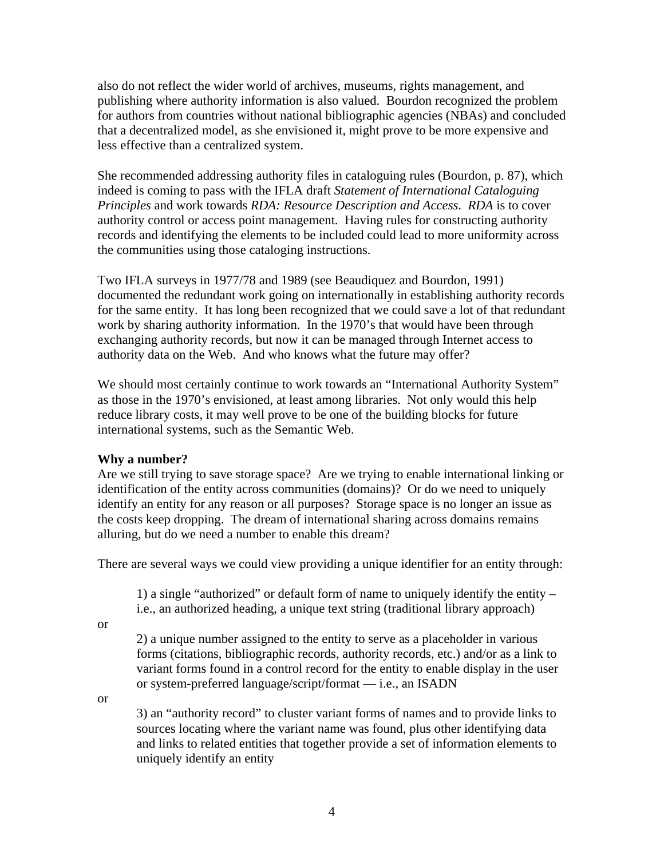also do not reflect the wider world of archives, museums, rights management, and publishing where authority information is also valued. Bourdon recognized the problem for authors from countries without national bibliographic agencies (NBAs) and concluded that a decentralized model, as she envisioned it, might prove to be more expensive and less effective than a centralized system.

She recommended addressing authority files in cataloguing rules (Bourdon, p. 87), which indeed is coming to pass with the IFLA draft *Statement of International Cataloguing Principles* and work towards *RDA: Resource Description and Access*. *RDA* is to cover authority control or access point management. Having rules for constructing authority records and identifying the elements to be included could lead to more uniformity across the communities using those cataloging instructions.

Two IFLA surveys in 1977/78 and 1989 (see Beaudiquez and Bourdon, 1991) documented the redundant work going on internationally in establishing authority records for the same entity. It has long been recognized that we could save a lot of that redundant work by sharing authority information. In the 1970's that would have been through exchanging authority records, but now it can be managed through Internet access to authority data on the Web. And who knows what the future may offer?

We should most certainly continue to work towards an "International Authority System" as those in the 1970's envisioned, at least among libraries. Not only would this help reduce library costs, it may well prove to be one of the building blocks for future international systems, such as the Semantic Web.

### **Why a number?**

Are we still trying to save storage space? Are we trying to enable international linking or identification of the entity across communities (domains)? Or do we need to uniquely identify an entity for any reason or all purposes? Storage space is no longer an issue as the costs keep dropping. The dream of international sharing across domains remains alluring, but do we need a number to enable this dream?

There are several ways we could view providing a unique identifier for an entity through:

1) a single "authorized" or default form of name to uniquely identify the entity – i.e., an authorized heading, a unique text string (traditional library approach)

or

2) a unique number assigned to the entity to serve as a placeholder in various forms (citations, bibliographic records, authority records, etc.) and/or as a link to variant forms found in a control record for the entity to enable display in the user or system-preferred language/script/format — i.e., an ISADN

or

3) an "authority record" to cluster variant forms of names and to provide links to sources locating where the variant name was found, plus other identifying data and links to related entities that together provide a set of information elements to uniquely identify an entity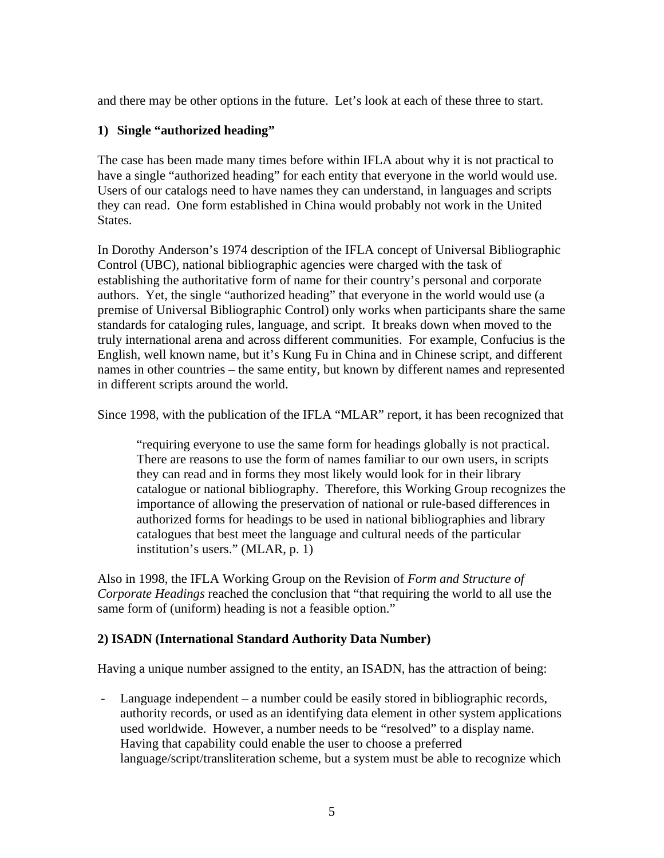and there may be other options in the future. Let's look at each of these three to start.

# **1) Single "authorized heading"**

The case has been made many times before within IFLA about why it is not practical to have a single "authorized heading" for each entity that everyone in the world would use. Users of our catalogs need to have names they can understand, in languages and scripts they can read. One form established in China would probably not work in the United States.

In Dorothy Anderson's 1974 description of the IFLA concept of Universal Bibliographic Control (UBC), national bibliographic agencies were charged with the task of establishing the authoritative form of name for their country's personal and corporate authors. Yet, the single "authorized heading" that everyone in the world would use (a premise of Universal Bibliographic Control) only works when participants share the same standards for cataloging rules, language, and script. It breaks down when moved to the truly international arena and across different communities. For example, Confucius is the English, well known name, but it's Kung Fu in China and in Chinese script, and different names in other countries – the same entity, but known by different names and represented in different scripts around the world.

Since 1998, with the publication of the IFLA "MLAR" report, it has been recognized that

"requiring everyone to use the same form for headings globally is not practical. There are reasons to use the form of names familiar to our own users, in scripts they can read and in forms they most likely would look for in their library catalogue or national bibliography. Therefore, this Working Group recognizes the importance of allowing the preservation of national or rule-based differences in authorized forms for headings to be used in national bibliographies and library catalogues that best meet the language and cultural needs of the particular institution's users." (MLAR, p. 1)

Also in 1998, the IFLA Working Group on the Revision of *Form and Structure of Corporate Headings* reached the conclusion that "that requiring the world to all use the same form of (uniform) heading is not a feasible option."

# **2) ISADN (International Standard Authority Data Number)**

Having a unique number assigned to the entity, an ISADN, has the attraction of being:

- Language independent – a number could be easily stored in bibliographic records, authority records, or used as an identifying data element in other system applications used worldwide. However, a number needs to be "resolved" to a display name. Having that capability could enable the user to choose a preferred language/script/transliteration scheme, but a system must be able to recognize which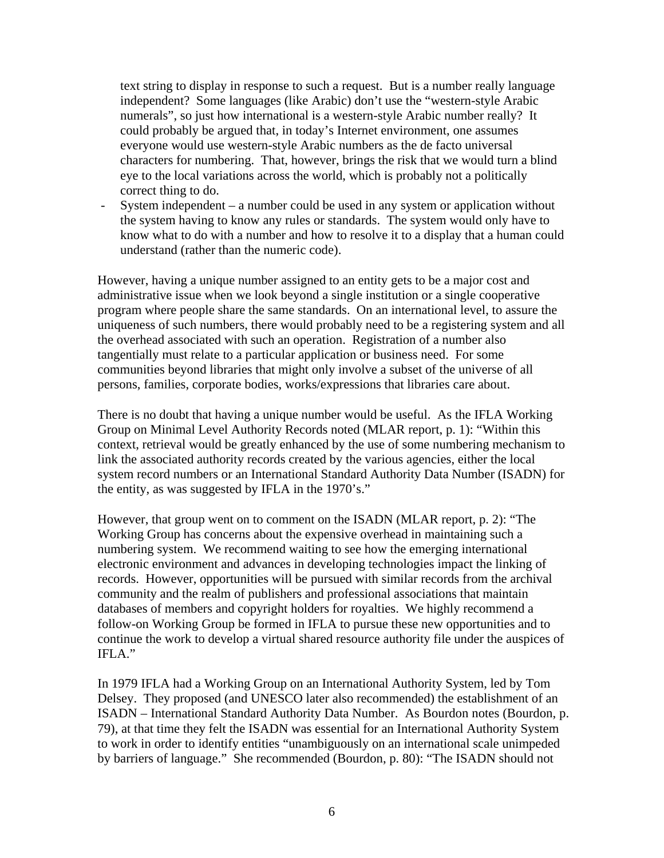text string to display in response to such a request. But is a number really language independent? Some languages (like Arabic) don't use the "western-style Arabic numerals", so just how international is a western-style Arabic number really? It could probably be argued that, in today's Internet environment, one assumes everyone would use western-style Arabic numbers as the de facto universal characters for numbering. That, however, brings the risk that we would turn a blind eye to the local variations across the world, which is probably not a politically correct thing to do.

- System independent – a number could be used in any system or application without the system having to know any rules or standards. The system would only have to know what to do with a number and how to resolve it to a display that a human could understand (rather than the numeric code).

However, having a unique number assigned to an entity gets to be a major cost and administrative issue when we look beyond a single institution or a single cooperative program where people share the same standards. On an international level, to assure the uniqueness of such numbers, there would probably need to be a registering system and all the overhead associated with such an operation. Registration of a number also tangentially must relate to a particular application or business need. For some communities beyond libraries that might only involve a subset of the universe of all persons, families, corporate bodies, works/expressions that libraries care about.

There is no doubt that having a unique number would be useful. As the IFLA Working Group on Minimal Level Authority Records noted (MLAR report, p. 1): "Within this context, retrieval would be greatly enhanced by the use of some numbering mechanism to link the associated authority records created by the various agencies, either the local system record numbers or an International Standard Authority Data Number (ISADN) for the entity, as was suggested by IFLA in the 1970's."

However, that group went on to comment on the ISADN (MLAR report, p. 2): "The Working Group has concerns about the expensive overhead in maintaining such a numbering system. We recommend waiting to see how the emerging international electronic environment and advances in developing technologies impact the linking of records. However, opportunities will be pursued with similar records from the archival community and the realm of publishers and professional associations that maintain databases of members and copyright holders for royalties. We highly recommend a follow-on Working Group be formed in IFLA to pursue these new opportunities and to continue the work to develop a virtual shared resource authority file under the auspices of IFLA."

In 1979 IFLA had a Working Group on an International Authority System, led by Tom Delsey. They proposed (and UNESCO later also recommended) the establishment of an ISADN – International Standard Authority Data Number. As Bourdon notes (Bourdon, p. 79), at that time they felt the ISADN was essential for an International Authority System to work in order to identify entities "unambiguously on an international scale unimpeded by barriers of language." She recommended (Bourdon, p. 80): "The ISADN should not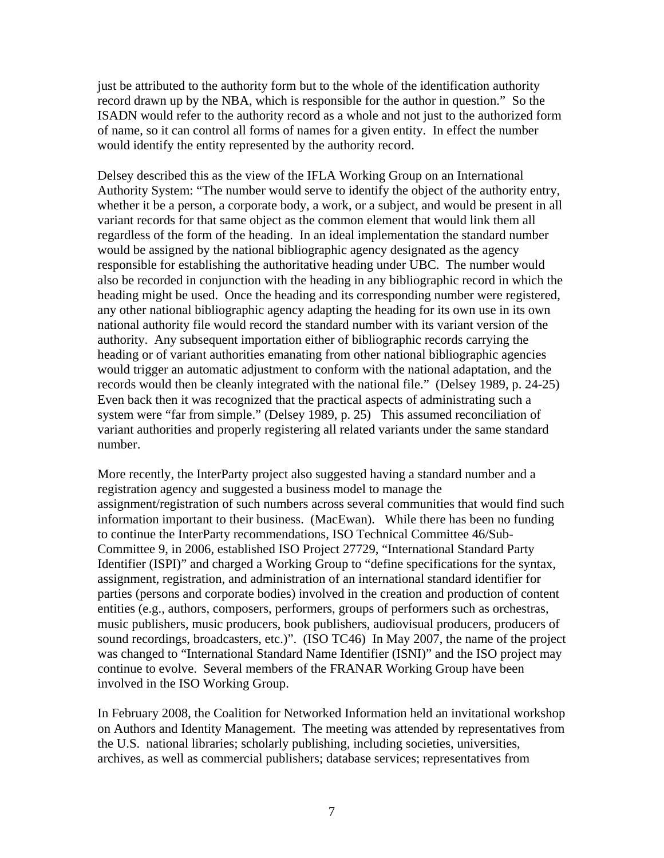just be attributed to the authority form but to the whole of the identification authority record drawn up by the NBA, which is responsible for the author in question." So the ISADN would refer to the authority record as a whole and not just to the authorized form of name, so it can control all forms of names for a given entity. In effect the number would identify the entity represented by the authority record.

Delsey described this as the view of the IFLA Working Group on an International Authority System: "The number would serve to identify the object of the authority entry, whether it be a person, a corporate body, a work, or a subject, and would be present in all variant records for that same object as the common element that would link them all regardless of the form of the heading. In an ideal implementation the standard number would be assigned by the national bibliographic agency designated as the agency responsible for establishing the authoritative heading under UBC. The number would also be recorded in conjunction with the heading in any bibliographic record in which the heading might be used. Once the heading and its corresponding number were registered, any other national bibliographic agency adapting the heading for its own use in its own national authority file would record the standard number with its variant version of the authority. Any subsequent importation either of bibliographic records carrying the heading or of variant authorities emanating from other national bibliographic agencies would trigger an automatic adjustment to conform with the national adaptation, and the records would then be cleanly integrated with the national file." (Delsey 1989, p. 24-25) Even back then it was recognized that the practical aspects of administrating such a system were "far from simple." (Delsey 1989, p. 25) This assumed reconciliation of variant authorities and properly registering all related variants under the same standard number.

More recently, the InterParty project also suggested having a standard number and a registration agency and suggested a business model to manage the assignment/registration of such numbers across several communities that would find such information important to their business. (MacEwan). While there has been no funding to continue the InterParty recommendations, ISO Technical Committee 46/Sub-Committee 9, in 2006, established ISO Project 27729, "International Standard Party Identifier (ISPI)" and charged a Working Group to "define specifications for the syntax, assignment, registration, and administration of an international standard identifier for parties (persons and corporate bodies) involved in the creation and production of content entities (e.g., authors, composers, performers, groups of performers such as orchestras, music publishers, music producers, book publishers, audiovisual producers, producers of sound recordings, broadcasters, etc.)". (ISO TC46) In May 2007, the name of the project was changed to "International Standard Name Identifier (ISNI)" and the ISO project may continue to evolve. Several members of the FRANAR Working Group have been involved in the ISO Working Group.

In February 2008, the Coalition for Networked Information held an invitational workshop on Authors and Identity Management. The meeting was attended by representatives from the U.S. national libraries; scholarly publishing, including societies, universities, archives, as well as commercial publishers; database services; representatives from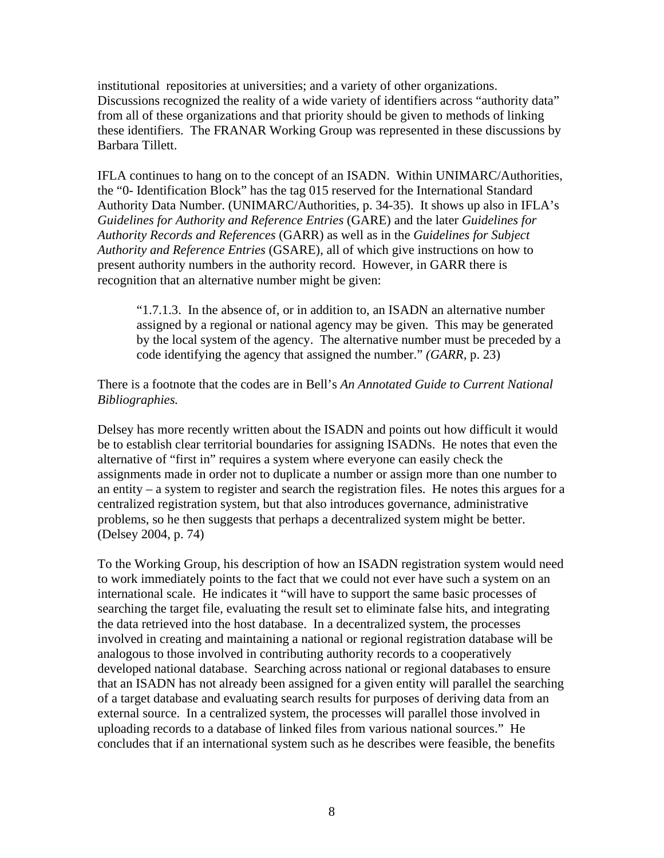institutional repositories at universities; and a variety of other organizations. Discussions recognized the reality of a wide variety of identifiers across "authority data" from all of these organizations and that priority should be given to methods of linking these identifiers. The FRANAR Working Group was represented in these discussions by Barbara Tillett.

IFLA continues to hang on to the concept of an ISADN. Within UNIMARC/Authorities, the "0- Identification Block" has the tag 015 reserved for the International Standard Authority Data Number. (UNIMARC/Authorities, p. 34-35). It shows up also in IFLA's *Guidelines for Authority and Reference Entries* (GARE) and the later *Guidelines for Authority Records and References* (GARR) as well as in the *Guidelines for Subject Authority and Reference Entries* (GSARE), all of which give instructions on how to present authority numbers in the authority record. However, in GARR there is recognition that an alternative number might be given:

"1.7.1.3. In the absence of, or in addition to, an ISADN an alternative number assigned by a regional or national agency may be given. This may be generated by the local system of the agency. The alternative number must be preceded by a code identifying the agency that assigned the number." *(GARR,* p. 23)

There is a footnote that the codes are in Bell's *An Annotated Guide to Current National Bibliographies.* 

Delsey has more recently written about the ISADN and points out how difficult it would be to establish clear territorial boundaries for assigning ISADNs. He notes that even the alternative of "first in" requires a system where everyone can easily check the assignments made in order not to duplicate a number or assign more than one number to an entity – a system to register and search the registration files. He notes this argues for a centralized registration system, but that also introduces governance, administrative problems, so he then suggests that perhaps a decentralized system might be better. (Delsey 2004, p. 74)

To the Working Group, his description of how an ISADN registration system would need to work immediately points to the fact that we could not ever have such a system on an international scale. He indicates it "will have to support the same basic processes of searching the target file, evaluating the result set to eliminate false hits, and integrating the data retrieved into the host database. In a decentralized system, the processes involved in creating and maintaining a national or regional registration database will be analogous to those involved in contributing authority records to a cooperatively developed national database. Searching across national or regional databases to ensure that an ISADN has not already been assigned for a given entity will parallel the searching of a target database and evaluating search results for purposes of deriving data from an external source. In a centralized system, the processes will parallel those involved in uploading records to a database of linked files from various national sources." He concludes that if an international system such as he describes were feasible, the benefits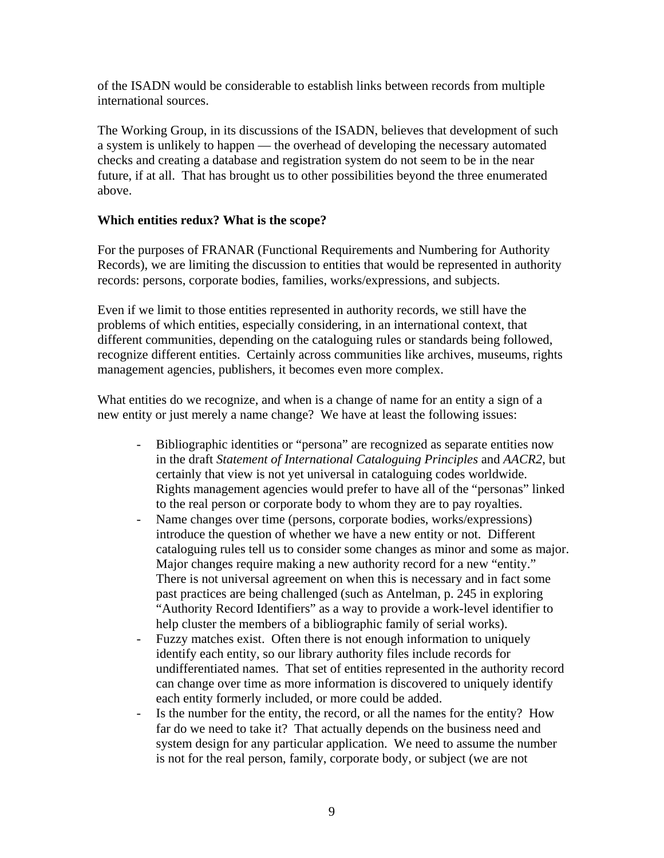of the ISADN would be considerable to establish links between records from multiple international sources.

The Working Group, in its discussions of the ISADN, believes that development of such a system is unlikely to happen — the overhead of developing the necessary automated checks and creating a database and registration system do not seem to be in the near future, if at all. That has brought us to other possibilities beyond the three enumerated above.

## **Which entities redux? What is the scope?**

For the purposes of FRANAR (Functional Requirements and Numbering for Authority Records), we are limiting the discussion to entities that would be represented in authority records: persons, corporate bodies, families, works/expressions, and subjects.

Even if we limit to those entities represented in authority records, we still have the problems of which entities, especially considering, in an international context, that different communities, depending on the cataloguing rules or standards being followed, recognize different entities. Certainly across communities like archives, museums, rights management agencies, publishers, it becomes even more complex.

What entities do we recognize, and when is a change of name for an entity a sign of a new entity or just merely a name change? We have at least the following issues:

- Bibliographic identities or "persona" are recognized as separate entities now in the draft *Statement of International Cataloguing Principles* and *AACR2*, but certainly that view is not yet universal in cataloguing codes worldwide. Rights management agencies would prefer to have all of the "personas" linked to the real person or corporate body to whom they are to pay royalties.
- Name changes over time (persons, corporate bodies, works/expressions) introduce the question of whether we have a new entity or not. Different cataloguing rules tell us to consider some changes as minor and some as major. Major changes require making a new authority record for a new "entity." There is not universal agreement on when this is necessary and in fact some past practices are being challenged (such as Antelman, p. 245 in exploring "Authority Record Identifiers" as a way to provide a work-level identifier to help cluster the members of a bibliographic family of serial works).
- Fuzzy matches exist. Often there is not enough information to uniquely identify each entity, so our library authority files include records for undifferentiated names. That set of entities represented in the authority record can change over time as more information is discovered to uniquely identify each entity formerly included, or more could be added.
- Is the number for the entity, the record, or all the names for the entity? How far do we need to take it? That actually depends on the business need and system design for any particular application. We need to assume the number is not for the real person, family, corporate body, or subject (we are not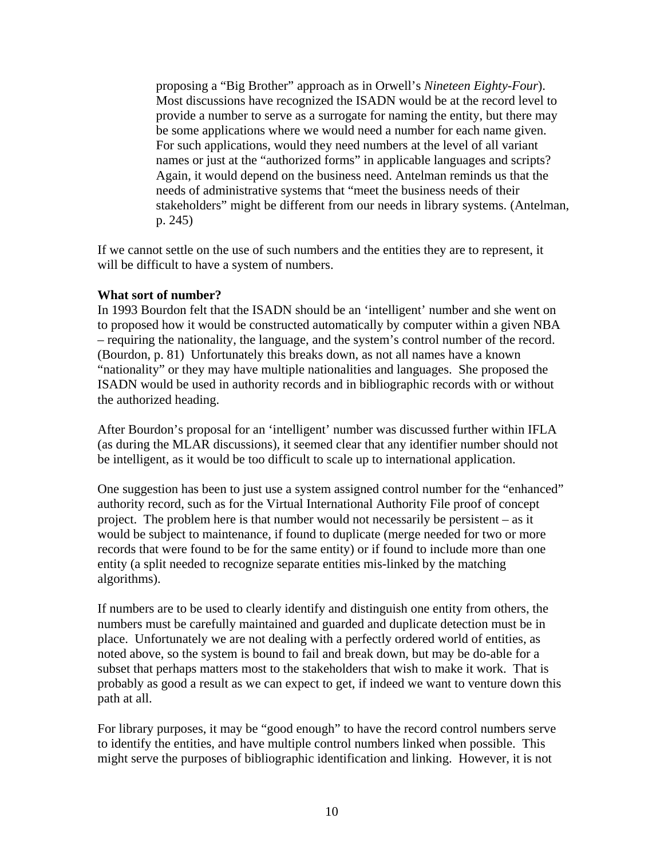proposing a "Big Brother" approach as in Orwell's *Nineteen Eighty-Four*). Most discussions have recognized the ISADN would be at the record level to provide a number to serve as a surrogate for naming the entity, but there may be some applications where we would need a number for each name given. For such applications, would they need numbers at the level of all variant names or just at the "authorized forms" in applicable languages and scripts? Again, it would depend on the business need. Antelman reminds us that the needs of administrative systems that "meet the business needs of their stakeholders" might be different from our needs in library systems. (Antelman, p. 245)

If we cannot settle on the use of such numbers and the entities they are to represent, it will be difficult to have a system of numbers.

### **What sort of number?**

In 1993 Bourdon felt that the ISADN should be an 'intelligent' number and she went on to proposed how it would be constructed automatically by computer within a given NBA – requiring the nationality, the language, and the system's control number of the record. (Bourdon, p. 81) Unfortunately this breaks down, as not all names have a known "nationality" or they may have multiple nationalities and languages. She proposed the ISADN would be used in authority records and in bibliographic records with or without the authorized heading.

After Bourdon's proposal for an 'intelligent' number was discussed further within IFLA (as during the MLAR discussions), it seemed clear that any identifier number should not be intelligent, as it would be too difficult to scale up to international application.

One suggestion has been to just use a system assigned control number for the "enhanced" authority record, such as for the Virtual International Authority File proof of concept project. The problem here is that number would not necessarily be persistent – as it would be subject to maintenance, if found to duplicate (merge needed for two or more records that were found to be for the same entity) or if found to include more than one entity (a split needed to recognize separate entities mis-linked by the matching algorithms).

If numbers are to be used to clearly identify and distinguish one entity from others, the numbers must be carefully maintained and guarded and duplicate detection must be in place. Unfortunately we are not dealing with a perfectly ordered world of entities, as noted above, so the system is bound to fail and break down, but may be do-able for a subset that perhaps matters most to the stakeholders that wish to make it work. That is probably as good a result as we can expect to get, if indeed we want to venture down this path at all.

For library purposes, it may be "good enough" to have the record control numbers serve to identify the entities, and have multiple control numbers linked when possible. This might serve the purposes of bibliographic identification and linking. However, it is not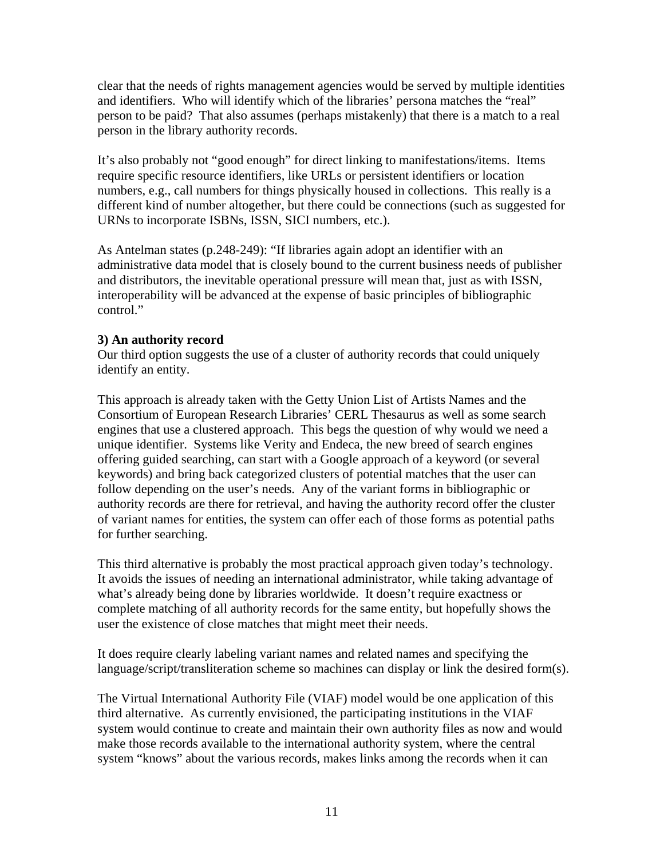clear that the needs of rights management agencies would be served by multiple identities and identifiers. Who will identify which of the libraries' persona matches the "real" person to be paid? That also assumes (perhaps mistakenly) that there is a match to a real person in the library authority records.

It's also probably not "good enough" for direct linking to manifestations/items. Items require specific resource identifiers, like URLs or persistent identifiers or location numbers, e.g., call numbers for things physically housed in collections. This really is a different kind of number altogether, but there could be connections (such as suggested for URNs to incorporate ISBNs, ISSN, SICI numbers, etc.).

As Antelman states (p.248-249): "If libraries again adopt an identifier with an administrative data model that is closely bound to the current business needs of publisher and distributors, the inevitable operational pressure will mean that, just as with ISSN, interoperability will be advanced at the expense of basic principles of bibliographic control."

## **3) An authority record**

Our third option suggests the use of a cluster of authority records that could uniquely identify an entity.

This approach is already taken with the Getty Union List of Artists Names and the Consortium of European Research Libraries' CERL Thesaurus as well as some search engines that use a clustered approach. This begs the question of why would we need a unique identifier. Systems like Verity and Endeca, the new breed of search engines offering guided searching, can start with a Google approach of a keyword (or several keywords) and bring back categorized clusters of potential matches that the user can follow depending on the user's needs. Any of the variant forms in bibliographic or authority records are there for retrieval, and having the authority record offer the cluster of variant names for entities, the system can offer each of those forms as potential paths for further searching.

This third alternative is probably the most practical approach given today's technology. It avoids the issues of needing an international administrator, while taking advantage of what's already being done by libraries worldwide. It doesn't require exactness or complete matching of all authority records for the same entity, but hopefully shows the user the existence of close matches that might meet their needs.

It does require clearly labeling variant names and related names and specifying the language/script/transliteration scheme so machines can display or link the desired form(s).

The Virtual International Authority File (VIAF) model would be one application of this third alternative. As currently envisioned, the participating institutions in the VIAF system would continue to create and maintain their own authority files as now and would make those records available to the international authority system, where the central system "knows" about the various records, makes links among the records when it can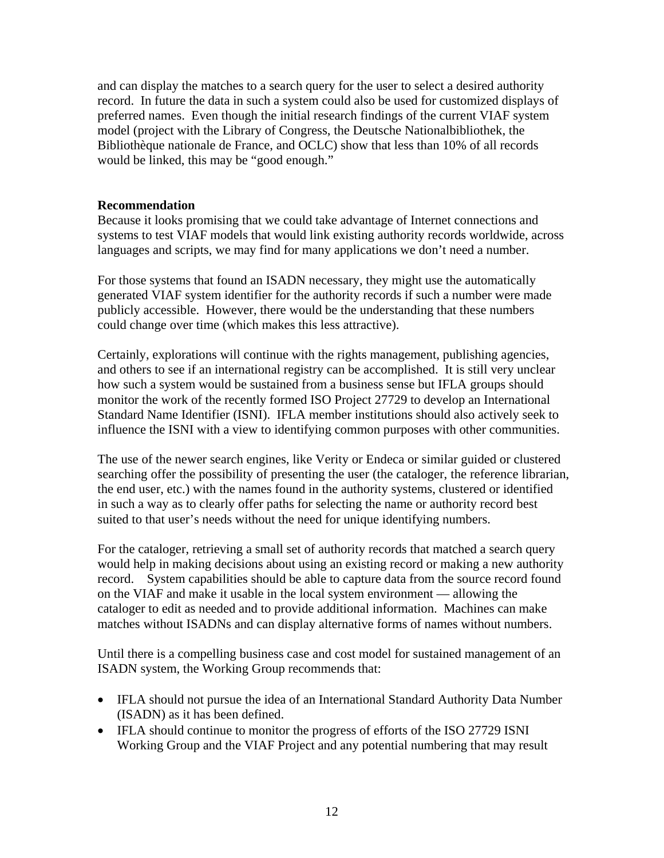and can display the matches to a search query for the user to select a desired authority record. In future the data in such a system could also be used for customized displays of preferred names. Even though the initial research findings of the current VIAF system model (project with the Library of Congress, the Deutsche Nationalbibliothek, the Bibliothèque nationale de France, and OCLC) show that less than 10% of all records would be linked, this may be "good enough."

#### **Recommendation**

Because it looks promising that we could take advantage of Internet connections and systems to test VIAF models that would link existing authority records worldwide, across languages and scripts, we may find for many applications we don't need a number.

For those systems that found an ISADN necessary, they might use the automatically generated VIAF system identifier for the authority records if such a number were made publicly accessible. However, there would be the understanding that these numbers could change over time (which makes this less attractive).

Certainly, explorations will continue with the rights management, publishing agencies, and others to see if an international registry can be accomplished. It is still very unclear how such a system would be sustained from a business sense but IFLA groups should monitor the work of the recently formed ISO Project 27729 to develop an International Standard Name Identifier (ISNI). IFLA member institutions should also actively seek to influence the ISNI with a view to identifying common purposes with other communities.

The use of the newer search engines, like Verity or Endeca or similar guided or clustered searching offer the possibility of presenting the user (the cataloger, the reference librarian, the end user, etc.) with the names found in the authority systems, clustered or identified in such a way as to clearly offer paths for selecting the name or authority record best suited to that user's needs without the need for unique identifying numbers.

For the cataloger, retrieving a small set of authority records that matched a search query would help in making decisions about using an existing record or making a new authority record. System capabilities should be able to capture data from the source record found on the VIAF and make it usable in the local system environment — allowing the cataloger to edit as needed and to provide additional information. Machines can make matches without ISADNs and can display alternative forms of names without numbers.

Until there is a compelling business case and cost model for sustained management of an ISADN system, the Working Group recommends that:

- IFLA should not pursue the idea of an International Standard Authority Data Number (ISADN) as it has been defined.
- IFLA should continue to monitor the progress of efforts of the ISO 27729 ISNI Working Group and the VIAF Project and any potential numbering that may result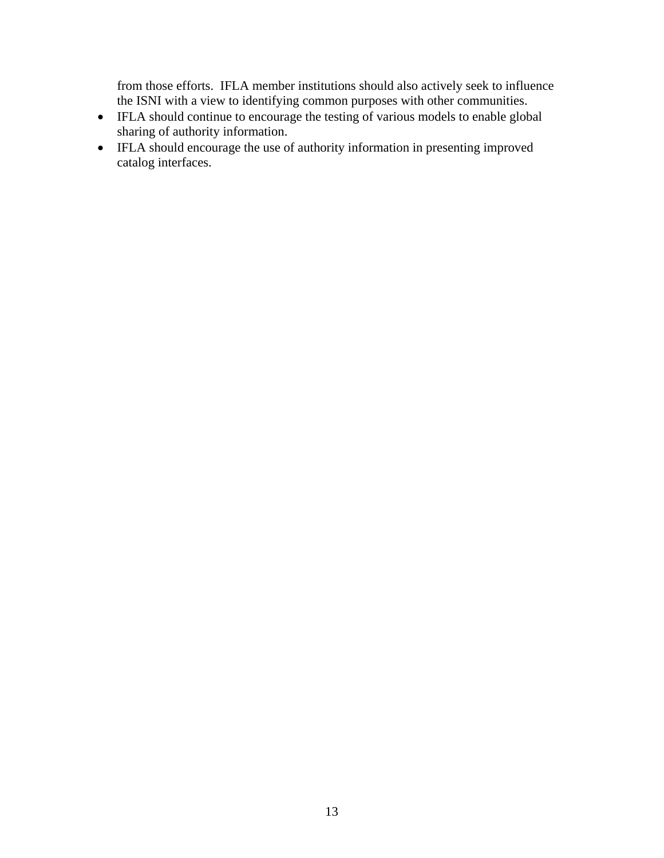from those efforts. IFLA member institutions should also actively seek to influence the ISNI with a view to identifying common purposes with other communities.

- IFLA should continue to encourage the testing of various models to enable global sharing of authority information.
- IFLA should encourage the use of authority information in presenting improved catalog interfaces.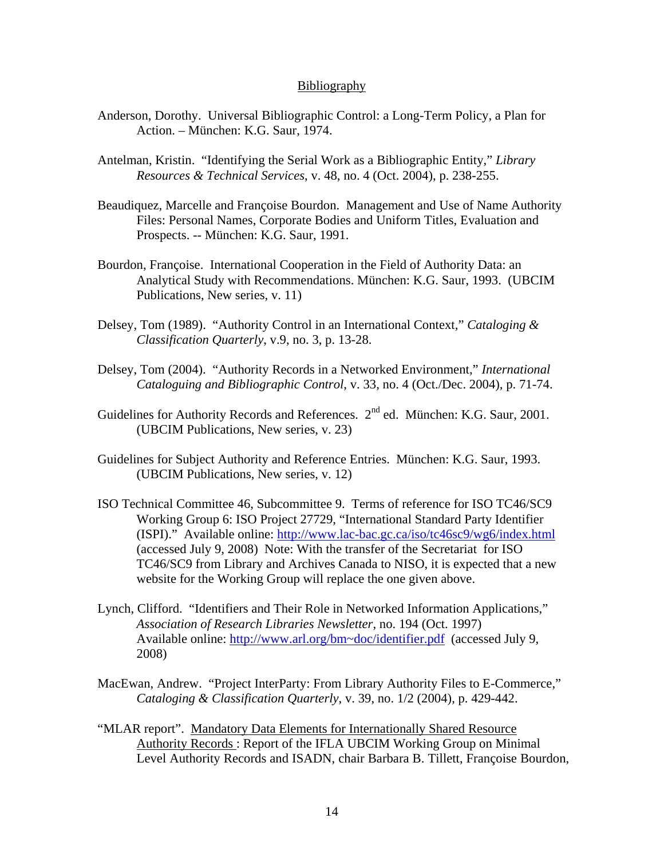#### **Bibliography**

- Anderson, Dorothy. Universal Bibliographic Control: a Long-Term Policy, a Plan for Action. – München: K.G. Saur, 1974.
- Antelman, Kristin. "Identifying the Serial Work as a Bibliographic Entity," *Library Resources & Technical Services*, v. 48, no. 4 (Oct. 2004), p. 238-255.
- Beaudiquez, Marcelle and Françoise Bourdon. Management and Use of Name Authority Files: Personal Names, Corporate Bodies and Uniform Titles, Evaluation and Prospects. -- München: K.G. Saur, 1991.
- Bourdon, Françoise. International Cooperation in the Field of Authority Data: an Analytical Study with Recommendations. München: K.G. Saur, 1993. (UBCIM Publications, New series, v. 11)
- Delsey, Tom (1989). "Authority Control in an International Context," *Cataloging & Classification Quarterly*, v.9, no. 3, p. 13-28.
- Delsey, Tom (2004). "Authority Records in a Networked Environment," *International Cataloguing and Bibliographic Control*, v. 33, no. 4 (Oct./Dec. 2004), p. 71-74.
- Guidelines for Authority Records and References.  $2<sup>nd</sup>$  ed. München: K.G. Saur, 2001. (UBCIM Publications, New series, v. 23)
- Guidelines for Subject Authority and Reference Entries. München: K.G. Saur, 1993. (UBCIM Publications, New series, v. 12)
- ISO Technical Committee 46, Subcommittee 9. Terms of reference for ISO TC46/SC9 Working Group 6: ISO Project 27729, "International Standard Party Identifier (ISPI)." Available online: http://www.lac-bac.gc.ca/iso/tc46sc9/wg6/index.html (accessed July 9, 2008) Note: With the transfer of the Secretariat for ISO TC46/SC9 from Library and Archives Canada to NISO, it is expected that a new website for the Working Group will replace the one given above.
- Lynch, Clifford. "Identifiers and Their Role in Networked Information Applications," *Association of Research Libraries Newsletter*, no. 194 (Oct. 1997) Available online: http://www.arl.org/bm~doc/identifier.pdf (accessed July 9, 2008)
- MacEwan, Andrew. "Project InterParty: From Library Authority Files to E-Commerce," *Cataloging & Classification Quarterly*, v. 39, no. 1/2 (2004), p. 429-442.
- "MLAR report". Mandatory Data Elements for Internationally Shared Resource Authority Records : Report of the IFLA UBCIM Working Group on Minimal Level Authority Records and ISADN, chair Barbara B. Tillett, Françoise Bourdon,